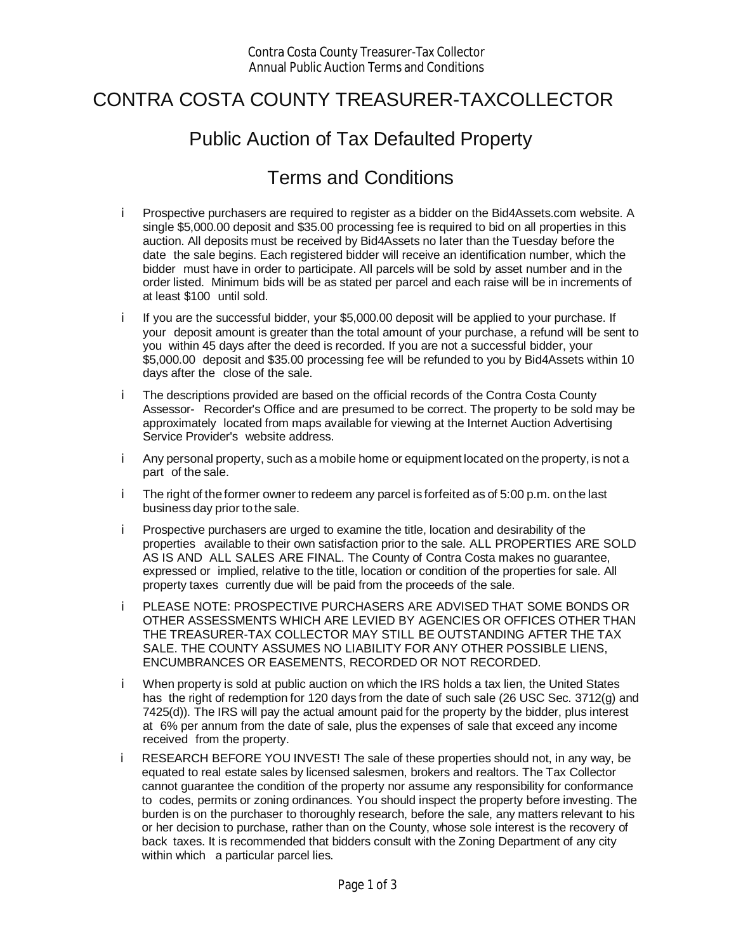## CONTRA COSTA COUNTY TREASURER-TAXCOLLECTOR

## Public Auction of Tax Defaulted Property

## Terms and Conditions

- Prospective purchasers are required to register as a bidder on the Bid4Assets.com website. A i. single \$5,000.00 deposit and \$35.00 processing fee is required to bid on all properties in this auction. All deposits must be received by Bid4Assets no later than the Tuesday before the date the sale begins. Each registered bidder will receive an identification number, which the bidder must have in order to participate. All parcels will be sold by asset number and in the order listed. Minimum bids will be as stated per parcel and each raise will be in increments of at least \$100 until sold.
- i. If you are the successful bidder, your \$5,000.00 deposit will be applied to your purchase. If your deposit amount is greater than the total amount of your purchase, a refund will be sent to you within 45 days after the deed is recorded. If you are not a successful bidder, your \$5,000.00 deposit and \$35.00 processing fee will be refunded to you by Bid4Assets within 10 days after the close of the sale.
- i. The descriptions provided are based on the official records of the Contra Costa County Assessor- Recorder's Office and are presumed to be correct. The property to be sold may be approximately located from maps available for viewing at the Internet Auction Advertising Service Provider's website address.
- i. Any personal property, such as a mobile home or equipment located on the property, is not a part of the sale.
- i. The right of the former owner to redeem any parcel is forfeited as of 5:00 p.m. on the last business day prior to the sale.
- i. Prospective purchasers are urged to examine the title, location and desirability of the properties available to their own satisfaction prior to the sale. ALL PROPERTIES ARE SOLD AS IS AND ALL SALES ARE FINAL. The County of Contra Costa makes no guarantee, expressed or implied, relative to the title, location or condition of the properties for sale. All property taxes currently due will be paid from the proceeds of the sale.
- i. PLEASE NOTE: PROSPECTIVE PURCHASERS ARE ADVISED THAT SOME BONDS OR OTHER ASSESSMENTS WHICH ARE LEVIED BY AGENCIES OR OFFICES OTHER THAN THE TREASURER-TAX COLLECTOR MAY STILL BE OUTSTANDING AFTER THE TAX SALE. THE COUNTY ASSUMES NO LIABILITY FOR ANY OTHER POSSIBLE LIENS, ENCUMBRANCES OR EASEMENTS, RECORDED OR NOT RECORDED.
- When property is sold at public auction on which the IRS holds a tax lien, the United States i. has the right of redemption for 120 days from the date of such sale (26 USC Sec. 3712(g) and 7425(d)). The IRS will pay the actual amount paid for the property by the bidder, plus interest at 6% per annum from the date of sale, plus the expenses of sale that exceed any income received from the property.
- RESEARCH BEFORE YOU INVEST! The sale of these properties should not, in any way, be i. equated to real estate sales by licensed salesmen, brokers and realtors. The Tax Collector cannot guarantee the condition of the property nor assume any responsibility for conformance to codes, permits or zoning ordinances. You should inspect the property before investing. The burden is on the purchaser to thoroughly research, before the sale, any matters relevant to his or her decision to purchase, rather than on the County, whose sole interest is the recovery of back taxes. It is recommended that bidders consult with the Zoning Department of any city within which a particular parcel lies.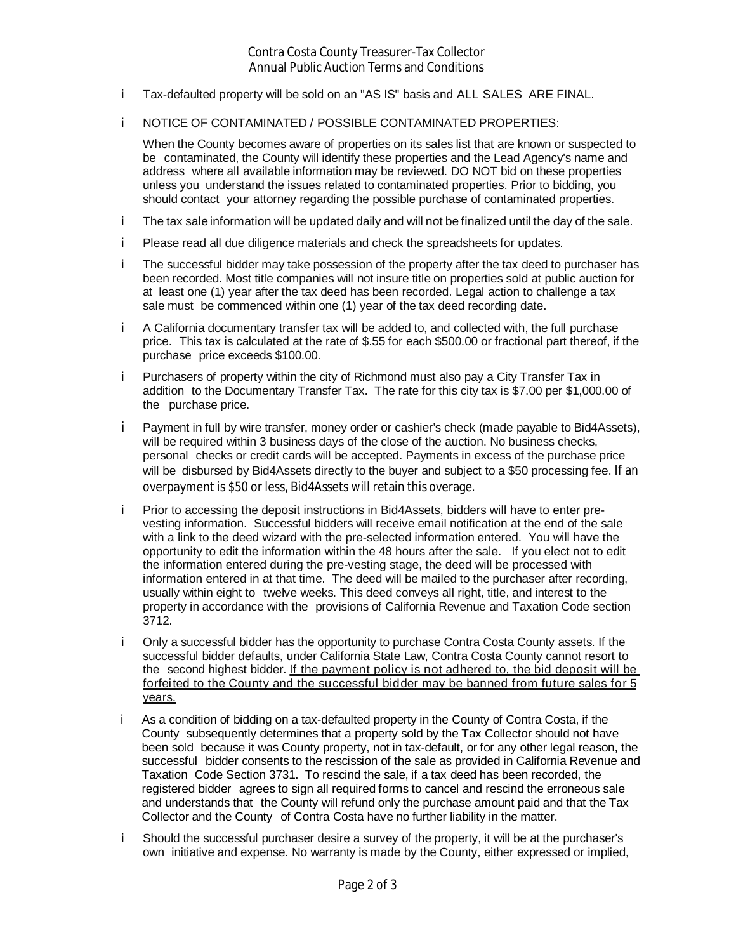- i. Tax-defaulted property will be sold on an "AS IS" basis and ALL SALES ARE FINAL.
- NOTICE OF CONTAMINATED / POSSIBLE CONTAMINATED PROPERTIES: i.

When the County becomes aware of properties on its sales list that are known or suspected to be contaminated, the County will identify these properties and the Lead Agency's name and address where all available information may be reviewed. DO NOT bid on these properties unless you understand the issues related to contaminated properties. Prior to bidding, you should contact your attorney regarding the possible purchase of contaminated properties.

- i. The tax sale information will be updated daily and will not be finalized until the day of the sale.
- Please read all due diligence materials and check the spreadsheets for updates. i.
- The successful bidder may take possession of the property after the tax deed to purchaser has i. been recorded. Most title companies will not insure title on properties sold at public auction for at least one (1) year after the tax deed has been recorded. Legal action to challenge a tax sale must be commenced within one (1) year of the tax deed recording date.
- i. A California documentary transfer tax will be added to, and collected with, the full purchase price. This tax is calculated at the rate of \$.55 for each \$500.00 or fractional part thereof, if the purchase price exceeds \$100.00.
- Purchasers of property within the city of Richmond must also pay a City Transfer Tax in i. addition to the Documentary Transfer Tax. The rate for this city tax is \$7.00 per \$1,000.00 of the purchase price.
- Payment in full by wire transfer, money order or cashier's check (made payable to Bid4Assets), i. will be required within 3 business days of the close of the auction. No business checks, personal checks or credit cards will be accepted. Payments in excess of the purchase price will be disbursed by Bid4Assets directly to the buyer and subject to a \$50 processing fee. If an overpayment is \$50 or less, Bid4Assets will retain this overage.
- i. Prior to accessing the deposit instructions in Bid4Assets, bidders will have to enter prevesting information. Successful bidders will receive email notification at the end of the sale with a link to the deed wizard with the pre-selected information entered. You will have the opportunity to edit the information within the 48 hours after the sale. If you elect not to edit the information entered during the pre-vesting stage, the deed will be processed with information entered in at that time. The deed will be mailed to the purchaser after recording, usually within eight to twelve weeks. This deed conveys all right, title, and interest to the property in accordance with the provisions of California Revenue and Taxation Code section 3712.
- i. Only a successful bidder has the opportunity to purchase Contra Costa County assets. If the successful bidder defaults, under California State Law, Contra Costa County cannot resort to the second highest bidder. If the payment policy is not adhered to, the bid deposit will be forfeited to the County and the successful bidder may be banned from future sales for 5 years.
- i. As a condition of bidding on a tax-defaulted property in the County of Contra Costa, if the County subsequently determines that a property sold by the Tax Collector should not have been sold because it was County property, not in tax-default, or for any other legal reason, the successful bidder consents to the rescission of the sale as provided in California Revenue and Taxation Code Section 3731. To rescind the sale, if a tax deed has been recorded, the registered bidder agrees to sign all required forms to cancel and rescind the erroneous sale and understands that the County will refund only the purchase amount paid and that the Tax Collector and the County of Contra Costa have no further liability in the matter.
- Should the successful purchaser desire a survey of the property, it will be at the purchaser's i. own initiative and expense. No warranty is made by the County, either expressed or implied,